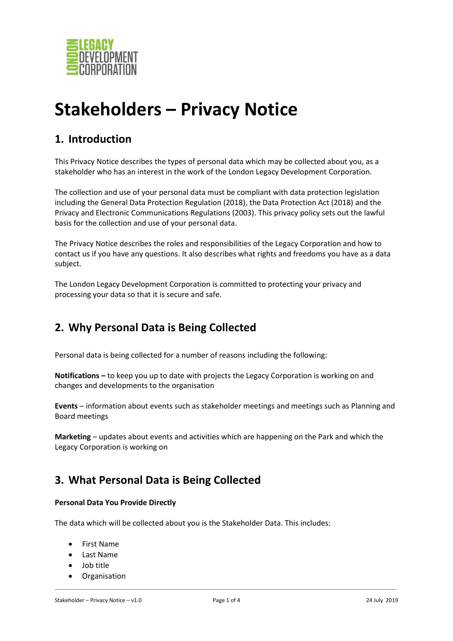

# **Stakeholders – Privacy Notice**

### **1. Introduction**

This Privacy Notice describes the types of personal data which may be collected about you, as a stakeholder who has an interest in the work of the London Legacy Development Corporation.

The collection and use of your personal data must be compliant with data protection legislation including the General Data Protection Regulation (2018), the Data Protection Act (2018) and the Privacy and Electronic Communications Regulations (2003). This privacy policy sets out the lawful basis for the collection and use of your personal data.

The Privacy Notice describes the roles and responsibilities of the Legacy Corporation and how to contact us if you have any questions. It also describes what rights and freedoms you have as a data subject.

The London Legacy Development Corporation is committed to protecting your privacy and processing your data so that it is secure and safe.

# **2. Why Personal Data is Being Collected**

Personal data is being collected for a number of reasons including the following:

**Notifications –** to keep you up to date with projects the Legacy Corporation is working on and changes and developments to the organisation

**Events** – information about events such as stakeholder meetings and meetings such as Planning and Board meetings

**Marketing** – updates about events and activities which are happening on the Park and which the Legacy Corporation is working on

# **3. What Personal Data is Being Collected**

#### **Personal Data You Provide Directly**

The data which will be collected about you is the Stakeholder Data. This includes:

- First Name
- Last Name
- Job title
- Organisation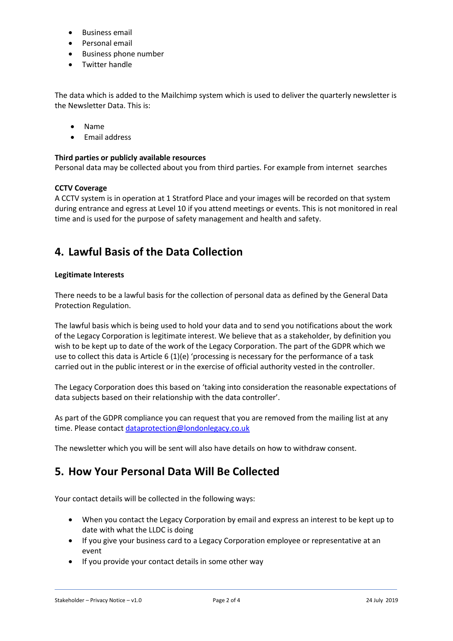- Business email
- Personal email
- Business phone number
- Twitter handle

The data which is added to the Mailchimp system which is used to deliver the quarterly newsletter is the Newsletter Data. This is:

- Name
- Email address

#### **Third parties or publicly available resources**

Personal data may be collected about you from third parties. For example from internet searches

#### **CCTV Coverage**

A CCTV system is in operation at 1 Stratford Place and your images will be recorded on that system during entrance and egress at Level 10 if you attend meetings or events. This is not monitored in real time and is used for the purpose of safety management and health and safety.

### **4. Lawful Basis of the Data Collection**

#### **Legitimate Interests**

There needs to be a lawful basis for the collection of personal data as defined by the General Data Protection Regulation.

The lawful basis which is being used to hold your data and to send you notifications about the work of the Legacy Corporation is legitimate interest. We believe that as a stakeholder, by definition you wish to be kept up to date of the work of the Legacy Corporation. The part of the GDPR which we use to collect this data is Article 6 (1)(e) 'processing is necessary for the performance of a task carried out in the public interest or in the exercise of official authority vested in the controller.

The Legacy Corporation does this based on 'taking into consideration the reasonable expectations of data subjects based on their relationship with the data controller'.

As part of the GDPR compliance you can request that you are removed from the mailing list at any time. Please contact [dataprotection@londonlegacy.co.uk](mailto:dataprotection@londonlegacy.co.uk)

The newsletter which you will be sent will also have details on how to withdraw consent.

### **5. How Your Personal Data Will Be Collected**

Your contact details will be collected in the following ways:

- When you contact the Legacy Corporation by email and express an interest to be kept up to date with what the LLDC is doing
- If you give your business card to a Legacy Corporation employee or representative at an event
- If you provide your contact details in some other way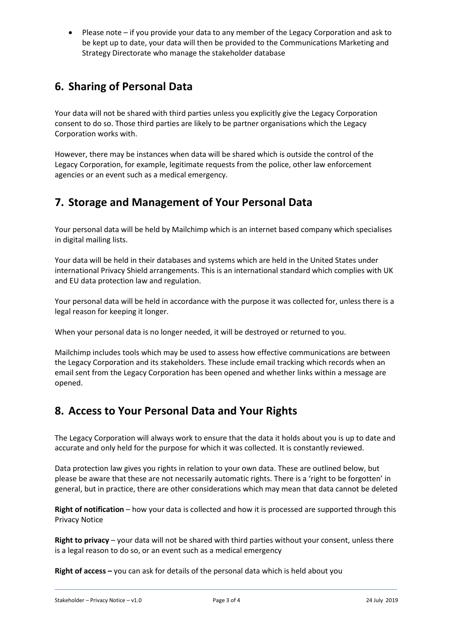• Please note – if you provide your data to any member of the Legacy Corporation and ask to be kept up to date, your data will then be provided to the Communications Marketing and Strategy Directorate who manage the stakeholder database

# **6. Sharing of Personal Data**

Your data will not be shared with third parties unless you explicitly give the Legacy Corporation consent to do so. Those third parties are likely to be partner organisations which the Legacy Corporation works with.

However, there may be instances when data will be shared which is outside the control of the Legacy Corporation, for example, legitimate requests from the police, other law enforcement agencies or an event such as a medical emergency.

# **7. Storage and Management of Your Personal Data**

Your personal data will be held by Mailchimp which is an internet based company which specialises in digital mailing lists.

Your data will be held in their databases and systems which are held in the United States under international Privacy Shield arrangements. This is an international standard which complies with UK and EU data protection law and regulation.

Your personal data will be held in accordance with the purpose it was collected for, unless there is a legal reason for keeping it longer.

When your personal data is no longer needed, it will be destroyed or returned to you.

Mailchimp includes tools which may be used to assess how effective communications are between the Legacy Corporation and its stakeholders. These include email tracking which records when an email sent from the Legacy Corporation has been opened and whether links within a message are opened.

# **8. Access to Your Personal Data and Your Rights**

The Legacy Corporation will always work to ensure that the data it holds about you is up to date and accurate and only held for the purpose for which it was collected. It is constantly reviewed.

Data protection law gives you rights in relation to your own data. These are outlined below, but please be aware that these are not necessarily automatic rights. There is a 'right to be forgotten' in general, but in practice, there are other considerations which may mean that data cannot be deleted

**Right of notification** – how your data is collected and how it is processed are supported through this Privacy Notice

**Right to privacy** – your data will not be shared with third parties without your consent, unless there is a legal reason to do so, or an event such as a medical emergency

**Right of access –** you can ask for details of the personal data which is held about you